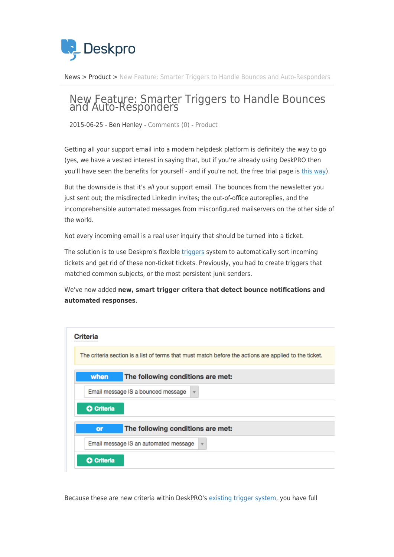

[News](https://support.deskpro.com/ro/news) > [Product](https://support.deskpro.com/ro/news/product) > [New Feature: Smarter Triggers to Handle Bounces and Auto-Responders](https://support.deskpro.com/ro/news/posts/new-feature-smarter-triggers-to-handle-bounces-and-auto-responders)

## New Feature: Smarter Triggers to Handle Bounces and Auto-Responders

2015-06-25 - Ben Henley - [Comments \(0\)](#page--1-0) - [Product](https://support.deskpro.com/ro/news/product)

Getting all your support email into a modern helpdesk platform is definitely the way to go (yes, we have a vested interest in saying that, but if you're already using DeskPRO then you'll have seen the benefits for yourself - and if you're not, the free trial page is [this way](https://www.deskpro.com/signup/)).

But the downside is that it's all your support email. The bounces from the newsletter you just sent out; the misdirected LinkedIn invites; the out-of-office autoreplies, and the incomprehensible automated messages from misconfigured mailservers on the other side of the world.

Not every incoming email is a real user inquiry that should be turned into a ticket.

The solution is to use Deskpro's flexible *triggers* system to automatically sort incoming tickets and get rid of these non-ticket tickets. Previously, you had to create triggers that matched common subjects, or the most persistent junk senders.

We've now added **new, smart trigger critera that detect bounce notifications and automated responses**.

| Criteria                                                                                              |
|-------------------------------------------------------------------------------------------------------|
| The criteria section is a list of terms that must match before the actions are applied to the ticket. |
| when<br>The following conditions are met:                                                             |
| Email message IS a bounced message                                                                    |
| <b>O</b> Criteria                                                                                     |
| The following conditions are met:<br>or                                                               |
| Email message IS an automated message                                                                 |
| <b>O</b> Criteria                                                                                     |

Because these are new criteria within DeskPRO's [existing trigger system](https://support.deskpro.com/guides/topic/374), you have full